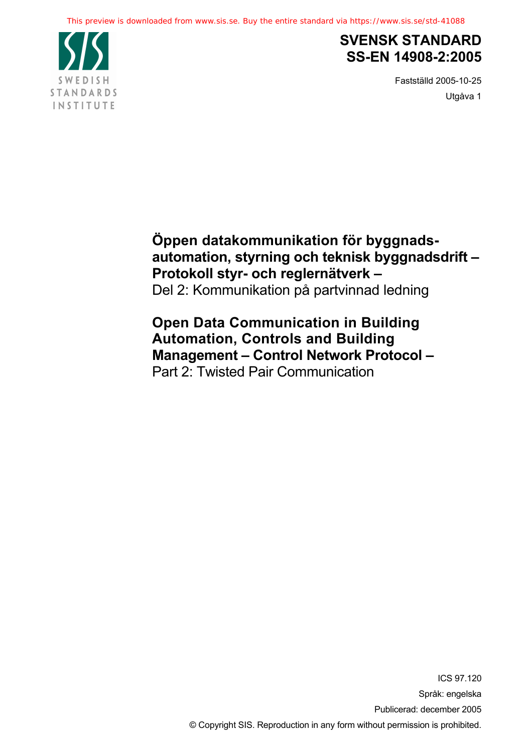

## **SVENSK STANDARD SS-EN 14908-2:2005**

Fastställd 2005-10-25 Utgåva 1

**Öppen datakommunikation för byggnadsautomation, styrning och teknisk byggnadsdrift – Protokoll styr- och reglernätverk –**  Del 2: Kommunikation på partvinnad ledning

**Open Data Communication in Building Automation, Controls and Building Management – Control Network Protocol –**  Part 2: Twisted Pair Communication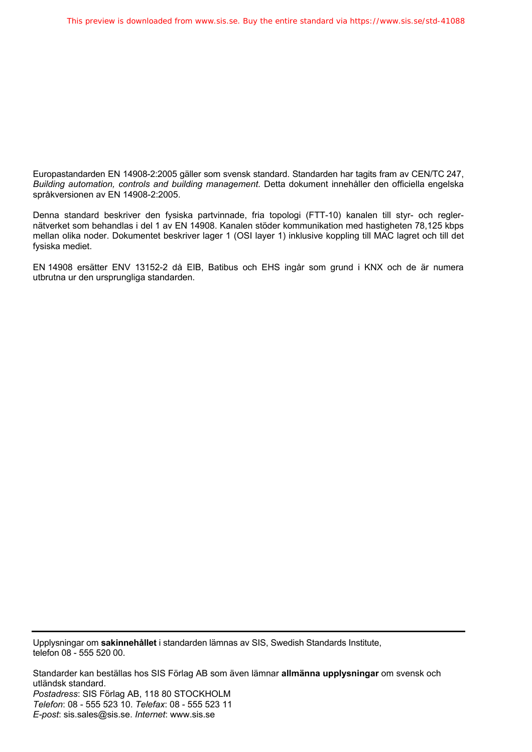Europastandarden EN 14908-2:2005 gäller som svensk standard. Standarden har tagits fram av CEN/TC 247, *Building automation, controls and building management*. Detta dokument innehåller den officiella engelska språkversionen av EN 14908-2:2005.

Denna standard beskriver den fysiska partvinnade, fria topologi (FTT-10) kanalen till styr- och reglernätverket som behandlas i del 1 av EN 14908. Kanalen stöder kommunikation med hastigheten 78,125 kbps mellan olika noder. Dokumentet beskriver lager 1 (OSI layer 1) inklusive koppling till MAC lagret och till det fysiska mediet.

EN 14908 ersätter ENV 13152-2 då EIB, Batibus och EHS ingår som grund i KNX och de är numera utbrutna ur den ursprungliga standarden.

Upplysningar om **sakinnehållet** i standarden lämnas av SIS, Swedish Standards Institute, telefon 08 - 555 520 00.

Standarder kan beställas hos SIS Förlag AB som även lämnar **allmänna upplysningar** om svensk och utländsk standard. *Postadress*: SIS Förlag AB, 118 80 STOCKHOLM *Telefon*: 08 - 555 523 10. *Telefax*: 08 - 555 523 11 *E-post*: sis.sales@sis.se. *Internet*: www.sis.se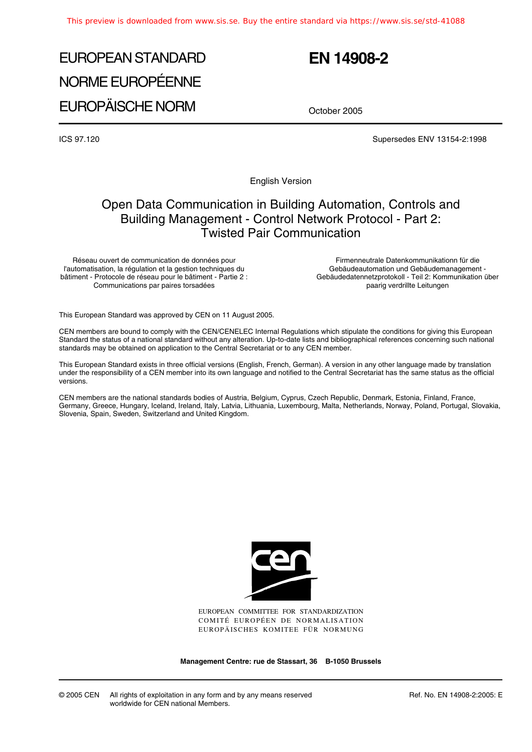# EUROPEAN STANDARD NORME EUROPÉENNE EUROPÄISCHE NORM

## **EN 14908-2**

October 2005

ICS 97.120 Supersedes ENV 13154-2:1998

English Version

## Open Data Communication in Building Automation, Controls and Building Management - Control Network Protocol - Part 2: Twisted Pair Communication

Réseau ouvert de communication de données pour l'automatisation, la régulation et la gestion techniques du bâtiment - Protocole de réseau pour le bâtiment - Partie 2 : Communications par paires torsadées

Firmenneutrale Datenkommunikationn für die Gebäudeautomation und Gebäudemanagement - Gebäudedatennetzprotokoll - Teil 2: Kommunikation über paarig verdrillte Leitungen

This European Standard was approved by CEN on 11 August 2005.

CEN members are bound to comply with the CEN/CENELEC Internal Regulations which stipulate the conditions for giving this European Standard the status of a national standard without any alteration. Up-to-date lists and bibliographical references concerning such national standards may be obtained on application to the Central Secretariat or to any CEN member.

This European Standard exists in three official versions (English, French, German). A version in any other language made by translation under the responsibility of a CEN member into its own language and notified to the Central Secretariat has the same status as the official versions.

CEN members are the national standards bodies of Austria, Belgium, Cyprus, Czech Republic, Denmark, Estonia, Finland, France, Germany, Greece, Hungary, Iceland, Ireland, Italy, Latvia, Lithuania, Luxembourg, Malta, Netherlands, Norway, Poland, Portugal, Slovakia, Slovenia, Spain, Sweden, Switzerland and United Kingdom.



EUROPEAN COMMITTEE FOR STANDARDIZATION COMITÉ EUROPÉEN DE NORMALISATION EUROPÄISCHES KOMITEE FÜR NORMUNG

**Management Centre: rue de Stassart, 36 B-1050 Brussels**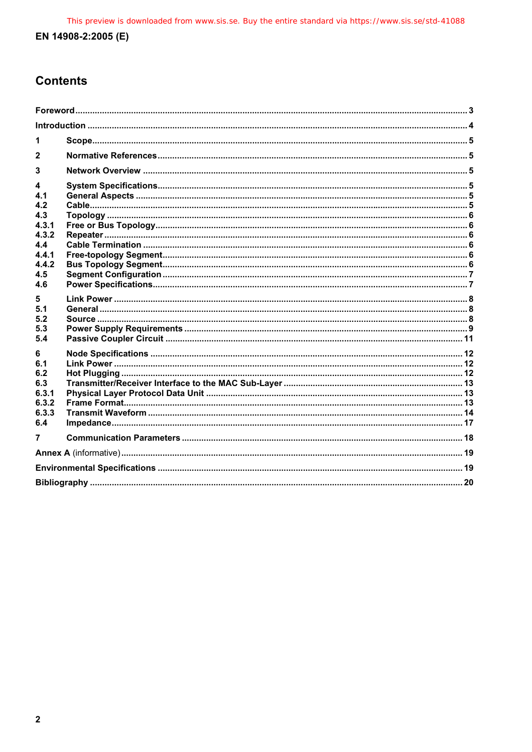## **Contents**

| 1                                                                           |  |  |  |
|-----------------------------------------------------------------------------|--|--|--|
| $\mathbf{2}$                                                                |  |  |  |
| 3                                                                           |  |  |  |
| 4<br>4.1<br>4.2<br>4.3<br>4.3.1<br>4.3.2<br>4.4<br>441<br>442<br>4.5<br>4.6 |  |  |  |
| 5<br>5.1<br>5.2<br>5.3<br>5.4                                               |  |  |  |
| 6<br>6.1<br>6.2<br>6.3<br>6.3.1<br>6.3.2<br>6.3.3<br>6.4                    |  |  |  |
| $\overline{7}$                                                              |  |  |  |
|                                                                             |  |  |  |
|                                                                             |  |  |  |
|                                                                             |  |  |  |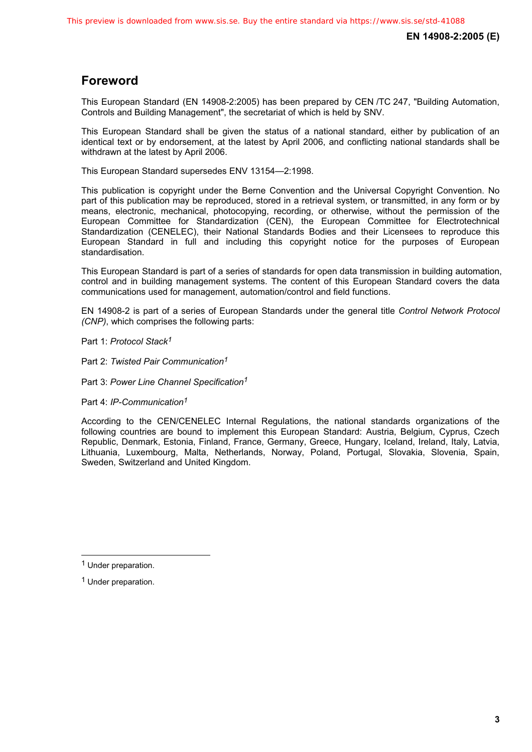## **Foreword**

This European Standard (EN 14908-2:2005) has been prepared by CEN /TC 247, "Building Automation, Controls and Building Management", the secretariat of which is held by SNV.

This European Standard shall be given the status of a national standard, either by publication of an identical text or by endorsement, at the latest by April 2006, and conflicting national standards shall be withdrawn at the latest by April 2006.

This European Standard supersedes ENV 13154—2:1998.

This publication is copyright under the Berne Convention and the Universal Copyright Convention. No part of this publication may be reproduced, stored in a retrieval system, or transmitted, in any form or by means, electronic, mechanical, photocopying, recording, or otherwise, without the permission of the European Committee for Standardization (CEN), the European Committee for Electrotechnical Standardization (CENELEC), their National Standards Bodies and their Licensees to reproduce this European Standard in full and including this copyright notice for the purposes of European standardisation.

This European Standard is part of a series of standards for open data transmission in building automation, control and in building management systems. The content of this European Standard covers the data communications used for management, automation/control and field functions.

EN 14908-2 is part of a series of European Standards under the general title *Control Network Protocol (CNP)*, which comprises the following parts:

Part 1: *Protocol Stack<sup>1</sup>*

Part 2: *Twisted Pair Communication1*

Part 3: *Power Line Channel Specification<sup>1</sup>*

Part 4: *IP-Communication1*

According to the CEN/CENELEC Internal Regulations, the national standards organizations of the following countries are bound to implement this European Standard: Austria, Belgium, Cyprus, Czech Republic, Denmark, Estonia, Finland, France, Germany, Greece, Hungary, Iceland, Ireland, Italy, Latvia, Lithuania, Luxembourg, Malta, Netherlands, Norway, Poland, Portugal, Slovakia, Slovenia, Spain, Sweden, Switzerland and United Kingdom.

 $\overline{a}$ 

<sup>1</sup> Under preparation.

<sup>1</sup> Under preparation.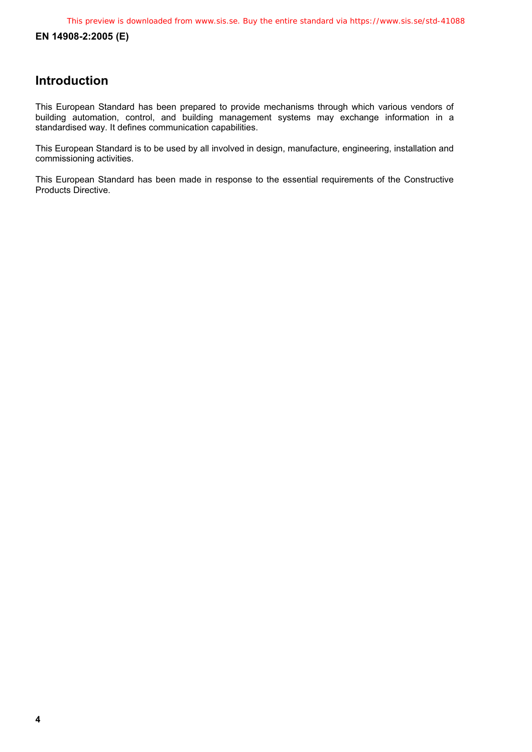**EN 14908-2:2005 (E)** 

### **Introduction**

This European Standard has been prepared to provide mechanisms through which various vendors of building automation, control, and building management systems may exchange information in a standardised way. It defines communication capabilities.

This European Standard is to be used by all involved in design, manufacture, engineering, installation and commissioning activities.

This European Standard has been made in response to the essential requirements of the Constructive Products Directive.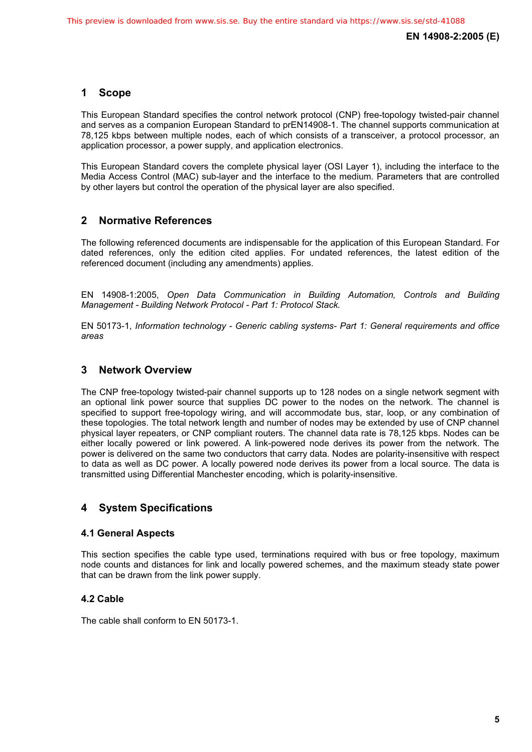#### **1 Scope**

This European Standard specifies the control network protocol (CNP) free-topology twisted-pair channel and serves as a companion European Standard to prEN14908-1. The channel supports communication at 78,125 kbps between multiple nodes, each of which consists of a transceiver, a protocol processor, an application processor, a power supply, and application electronics.

This European Standard covers the complete physical layer (OSI Layer 1), including the interface to the Media Access Control (MAC) sub-layer and the interface to the medium. Parameters that are controlled by other layers but control the operation of the physical layer are also specified.

#### **2 Normative References**

The following referenced documents are indispensable for the application of this European Standard. For dated references, only the edition cited applies. For undated references, the latest edition of the referenced document (including any amendments) applies.

EN 14908-1:2005, *Open Data Communication in Building Automation, Controls and Building Management - Building Network Protocol - Part 1: Protocol Stack.*

EN 50173-1, *Information technology - Generic cabling systems- Part 1: General requirements and office areas* 

#### **3 Network Overview**

The CNP free-topology twisted-pair channel supports up to 128 nodes on a single network segment with an optional link power source that supplies DC power to the nodes on the network. The channel is specified to support free-topology wiring, and will accommodate bus, star, loop, or any combination of these topologies. The total network length and number of nodes may be extended by use of CNP channel physical layer repeaters, or CNP compliant routers. The channel data rate is 78,125 kbps. Nodes can be either locally powered or link powered. A link-powered node derives its power from the network. The power is delivered on the same two conductors that carry data. Nodes are polarity-insensitive with respect to data as well as DC power. A locally powered node derives its power from a local source. The data is transmitted using Differential Manchester encoding, which is polarity-insensitive.

#### **4 System Specifications**

#### **4.1 General Aspects**

This section specifies the cable type used, terminations required with bus or free topology, maximum node counts and distances for link and locally powered schemes, and the maximum steady state power that can be drawn from the link power supply.

#### **4.2 Cable**

The cable shall conform to EN 50173-1.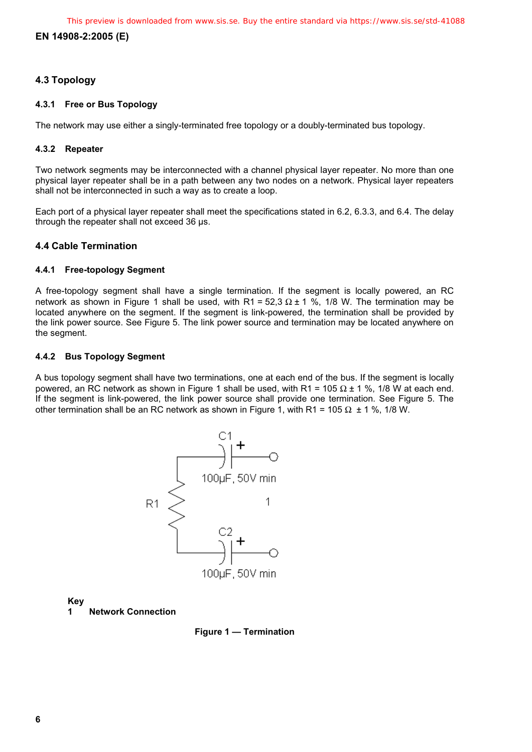#### **EN 14908-2:2005 (E)**

#### **4.3 Topology**

#### **4.3.1 Free or Bus Topology**

The network may use either a singly-terminated free topology or a doubly-terminated bus topology.

#### **4.3.2 Repeater**

Two network segments may be interconnected with a channel physical layer repeater. No more than one physical layer repeater shall be in a path between any two nodes on a network. Physical layer repeaters shall not be interconnected in such a way as to create a loop.

Each port of a physical layer repeater shall meet the specifications stated in 6.2, 6.3.3, and 6.4. The delay through the repeater shall not exceed 36 µs.

#### **4.4 Cable Termination**

#### **4.4.1 Free-topology Segment**

A free-topology segment shall have a single termination. If the segment is locally powered, an RC network as shown in Figure 1 shall be used, with R1 = 52,3 Ω ± 1 %, 1/8 W. The termination may be located anywhere on the segment. If the segment is link-powered, the termination shall be provided by the link power source. See Figure 5. The link power source and termination may be located anywhere on the segment.

#### **4.4.2 Bus Topology Segment**

A bus topology segment shall have two terminations, one at each end of the bus. If the segment is locally powered, an RC network as shown in Figure 1 shall be used, with R1 = 105 Ω ± 1 %, 1/8 W at each end. If the segment is link-powered, the link power source shall provide one termination. See Figure 5. The other termination shall be an RC network as shown in Figure 1, with R1 = 105  $\Omega$  ± 1 %, 1/8 W.



**Key**

**1 Network Connection** 

**Figure 1 — Termination**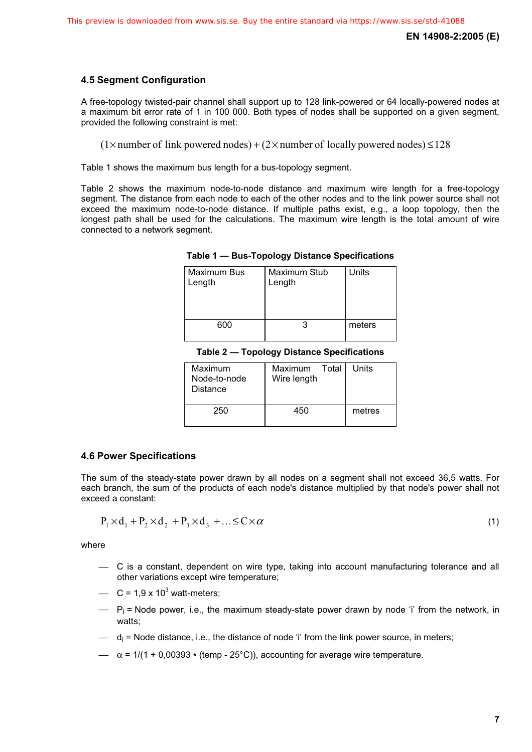#### **4.5 Segment Configuration**

A free-topology twisted-pair channel shall support up to 128 link-powered or 64 locally-powered nodes at a maximum bit error rate of 1 in 100 000. Both types of nodes shall be supported on a given segment, provided the following constraint is met:

 $(1\times$  number of link powered nodes) +  $(2\times$  number of locally powered nodes)  $\leq$ 128

Table 1 shows the maximum bus length for a bus-topology segment.

Table 2 shows the maximum node-to-node distance and maximum wire length for a free-topology segment. The distance from each node to each of the other nodes and to the link power source shall not exceed the maximum node-to-node distance. If multiple paths exist, e.g., a loop topology, then the longest path shall be used for the calculations. The maximum wire length is the total amount of wire connected to a network segment.

|  | Table 1 — Bus-Topology Distance Specifications |  |  |
|--|------------------------------------------------|--|--|
|--|------------------------------------------------|--|--|

| Maximum Bus<br>Length | Maximum Stub<br>Length | Units  |
|-----------------------|------------------------|--------|
| 600                   |                        | meters |

**Table 2 — Topology Distance Specifications** 

| Maximum<br>Node-to-node<br>Distance | Maximum Total<br>Wire length | Units  |
|-------------------------------------|------------------------------|--------|
| 250                                 | 450                          | metres |

#### **4.6 Power Specifications**

The sum of the steady-state power drawn by all nodes on a segment shall not exceed 36,5 watts. For each branch, the sum of the products of each node's distance multiplied by that node's power shall not exceed a constant:

$$
P_1 \times d_1 + P_2 \times d_2 + P_3 \times d_3 + \ldots \leq C \times \alpha \tag{1}
$$

where

- ⎯ C is a constant, dependent on wire type, taking into account manufacturing tolerance and all other variations except wire temperature;
- $\sim$  C = 1,9 x 10<sup>3</sup> watt-meters;
- $\qquad$  P<sub>i</sub> = Node power, i.e., the maximum steady-state power drawn by node 'i' from the network, in watts;
- d<sub>i</sub> = Node distance, i.e., the distance of node 'i' from the link power source, in meters;
- $\alpha$  = 1/(1 + 0,00393  $*$  (temp 25°C)), accounting for average wire temperature.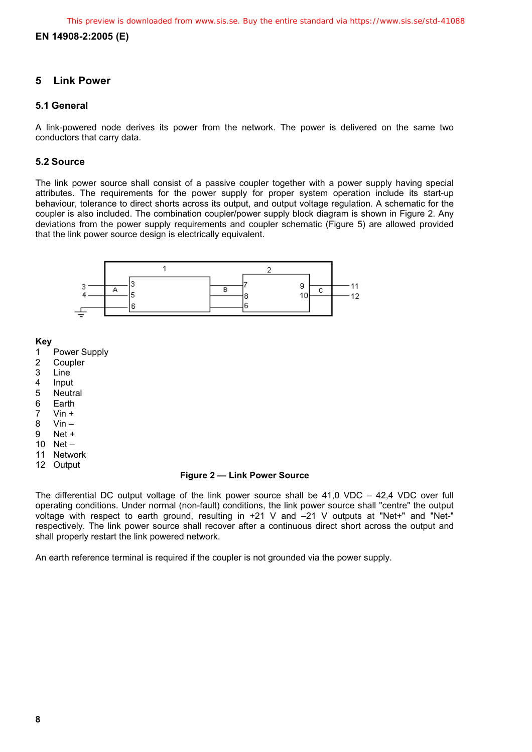#### **EN 14908-2:2005 (E)**

#### **5 Link Power**

#### **5.1 General**

A link-powered node derives its power from the network. The power is delivered on the same two conductors that carry data.

#### **5.2 Source**

The link power source shall consist of a passive coupler together with a power supply having special attributes. The requirements for the power supply for proper system operation include its start-up behaviour, tolerance to direct shorts across its output, and output voltage regulation. A schematic for the coupler is also included. The combination coupler/power supply block diagram is shown in Figure 2. Any deviations from the power supply requirements and coupler schematic (Figure 5) are allowed provided that the link power source design is electrically equivalent.



**Key**

- 1 Power Supply<br>2 Coupler
- **Coupler**
- 
- 3 Line<br>4 Input
- 4 Input<br>5 Neutr **Neutral**
- 
- 6 Earth<br>7 Vin +  $V$ in  $+$
- 8 Vin –
- 9 Net +
- 10 Net –
- 11 Network
- 12 Output

#### **Figure 2 — Link Power Source**

The differential DC output voltage of the link power source shall be 41,0 VDC – 42,4 VDC over full operating conditions. Under normal (non-fault) conditions, the link power source shall "centre" the output voltage with respect to earth ground, resulting in +21 V and -21 V outputs at "Net+" and "Net-" respectively. The link power source shall recover after a continuous direct short across the output and shall properly restart the link powered network.

An earth reference terminal is required if the coupler is not grounded via the power supply.